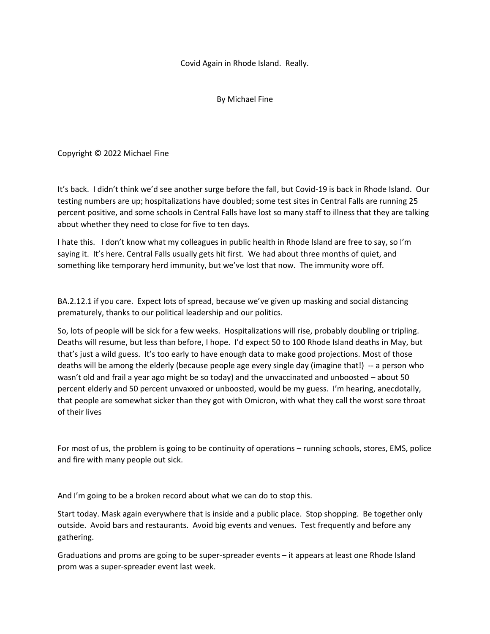Covid Again in Rhode Island. Really.

By Michael Fine

Copyright © 2022 Michael Fine

It's back. I didn't think we'd see another surge before the fall, but Covid-19 is back in Rhode Island. Our testing numbers are up; hospitalizations have doubled; some test sites in Central Falls are running 25 percent positive, and some schools in Central Falls have lost so many staff to illness that they are talking about whether they need to close for five to ten days.

I hate this. I don't know what my colleagues in public health in Rhode Island are free to say, so I'm saying it. It's here. Central Falls usually gets hit first. We had about three months of quiet, and something like temporary herd immunity, but we've lost that now. The immunity wore off.

BA.2.12.1 if you care. Expect lots of spread, because we've given up masking and social distancing prematurely, thanks to our political leadership and our politics.

So, lots of people will be sick for a few weeks. Hospitalizations will rise, probably doubling or tripling. Deaths will resume, but less than before, I hope. I'd expect 50 to 100 Rhode Island deaths in May, but that's just a wild guess. It's too early to have enough data to make good projections. Most of those deaths will be among the elderly (because people age every single day (imagine that!) -- a person who wasn't old and frail a year ago might be so today) and the unvaccinated and unboosted – about 50 percent elderly and 50 percent unvaxxed or unboosted, would be my guess. I'm hearing, anecdotally, that people are somewhat sicker than they got with Omicron, with what they call the worst sore throat of their lives

For most of us, the problem is going to be continuity of operations – running schools, stores, EMS, police and fire with many people out sick.

And I'm going to be a broken record about what we can do to stop this.

Start today. Mask again everywhere that is inside and a public place. Stop shopping. Be together only outside. Avoid bars and restaurants. Avoid big events and venues. Test frequently and before any gathering.

Graduations and proms are going to be super-spreader events – it appears at least one Rhode Island prom was a super-spreader event last week.